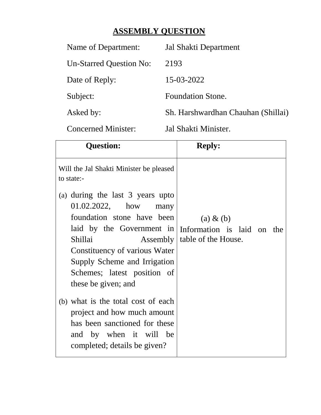## **ASSEMBLY QUESTION**

| Name of Department:            | Jal Shakti Department              |
|--------------------------------|------------------------------------|
| <b>Un-Starred Question No:</b> | 2193                               |
| Date of Reply:                 | 15-03-2022                         |
| Subject:                       | <b>Foundation Stone.</b>           |
| Asked by:                      | Sh. Harshwardhan Chauhan (Shillai) |
|                                |                                    |

Concerned Minister: Jal Shakti Minister.

| <b>Question:</b>                                                                                                                                                                          | <b>Reply:</b>                                                                |
|-------------------------------------------------------------------------------------------------------------------------------------------------------------------------------------------|------------------------------------------------------------------------------|
| Will the Jal Shakti Minister be pleased<br>to state:-<br>(a) during the last 3 years upto<br>01.02.2022, how many                                                                         |                                                                              |
| foundation stone have been<br>laid by the Government in<br>Shillai<br>Constituency of various Water<br>Supply Scheme and Irrigation<br>Schemes; latest position of<br>these be given; and | $(a) \& (b)$<br>Information is laid on the<br>Assembly   table of the House. |
| (b) what is the total cost of each<br>project and how much amount<br>has been sanctioned for these<br>and by when it will be<br>completed; details be given?                              |                                                                              |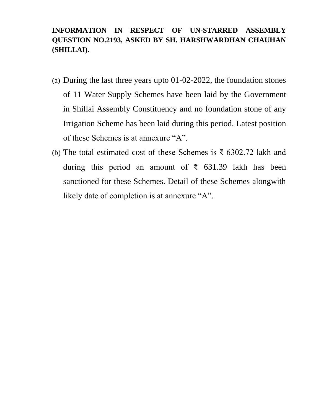## **INFORMATION IN RESPECT OF UN-STARRED ASSEMBLY QUESTION NO.2193, ASKED BY SH. HARSHWARDHAN CHAUHAN (SHILLAI).**

- (a) During the last three years upto 01-02-2022, the foundation stones of 11 Water Supply Schemes have been laid by the Government in Shillai Assembly Constituency and no foundation stone of any Irrigation Scheme has been laid during this period. Latest position of these Schemes is at annexure "A".
- (b) The total estimated cost of these Schemes is ₹ 6302.72 lakh and during this period an amount of  $\bar{\xi}$  631.39 lakh has been sanctioned for these Schemes. Detail of these Schemes alongwith likely date of completion is at annexure "A".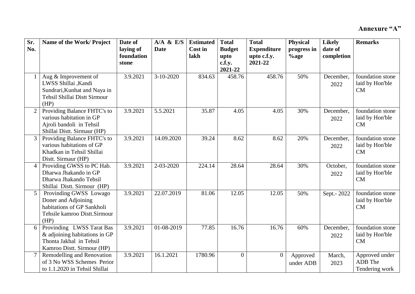| Sr.<br>No.      | Name of the Work/Project                                                                                             | Date of<br>laying of | $A/A$ & E/S<br><b>Date</b> | <b>Estimated</b><br>Cost in | <b>Total</b><br><b>Budget</b> | <b>Total</b><br><b>Expenditure</b> | <b>Physical</b><br>progress in | <b>Likely</b><br>date of | <b>Remarks</b>                              |
|-----------------|----------------------------------------------------------------------------------------------------------------------|----------------------|----------------------------|-----------------------------|-------------------------------|------------------------------------|--------------------------------|--------------------------|---------------------------------------------|
|                 |                                                                                                                      | foundation<br>stone  |                            | lakh                        | upto<br>c.f.y.<br>2021-22     | upto c.f.y.<br>2021-22             | $%$ age                        | completion               |                                             |
| $\mathbf{1}$    | Aug & Improvement of<br>LWSS Shillai , Kandi<br>Sundrari, Kunhat and Naya in<br>Tehsil Shillai Distt Sirmour<br>(HP) | 3.9.2021             | $3-10-2020$                | 834.63                      | 458.76                        | 458.76                             | 50%                            | December,<br>2022        | foundation stone<br>laid by Hon'ble<br>CM   |
| $\overline{2}$  | Providing Balance FHTC's to<br>various habitation in GP<br>Ajroli bandoli in Tehsil<br>Shillai Distt. Sirmaur (HP)   | 3.9.2021             | 5.5.2021                   | 35.87                       | 4.05                          | 4.05                               | 30%                            | December,<br>2022        | foundation stone<br>laid by Hon'ble<br>CM   |
| $\mathfrak{Z}$  | Providing Balance FHTC's to<br>various habitations of GP<br>Khadkan in Tehsil Shillai<br>Distt. Sirmaur (HP)         | 3.9.2021             | 14.09.2020                 | 39.24                       | 8.62                          | 8.62                               | 20%                            | December,<br>2022        | foundation stone<br>laid by Hon'ble<br>CM   |
| $\overline{4}$  | Providing GWSS to PC Hab.<br>Dharwa Jhakando in GP<br>Dharwa Jhakando Tehsil<br>Shillai Distt. Sirmour (HP)          | 3.9.2021             | 2-03-2020                  | 224.14                      | 28.64                         | 28.64                              | 30%                            | October,<br>2022         | foundation stone<br>laid by Hon'ble<br>CM   |
| $5\overline{)}$ | Provinding GWSS Lowago<br>Doner and Adjoining<br>habitations of GP Sankholi<br>Tehsile kamroo Distt.Sirmour<br>(HP)  | 3.9.2021             | 22.07.2019                 | 81.06                       | 12.05                         | 12.05                              | 50%                            | Sept.- 2022              | foundation stone<br>laid by Hon'ble<br>CM   |
| 6               | Provinding LWSS Tarat Bas<br>& adjoining habitations in GP<br>Thonta Jakhal in Tehsil<br>Kamroo Distt. Sirmour (HP)  | 3.9.2021             | 01-08-2019                 | 77.85                       | 16.76                         | 16.76                              | 60%                            | December,<br>2022        | foundation stone<br>laid by Hon'ble<br>CM   |
| $7\overline{ }$ | Remodelling and Renovation<br>of 3 No WSS Schemes Perior<br>to 1.1.2020 in Tehsil Shillai                            | 3.9.2021             | 16.1.2021                  | 1780.96                     | $\Omega$                      | $\overline{0}$                     | Approved<br>under ADB          | March,<br>2023           | Approved under<br>ADB The<br>Tendering work |